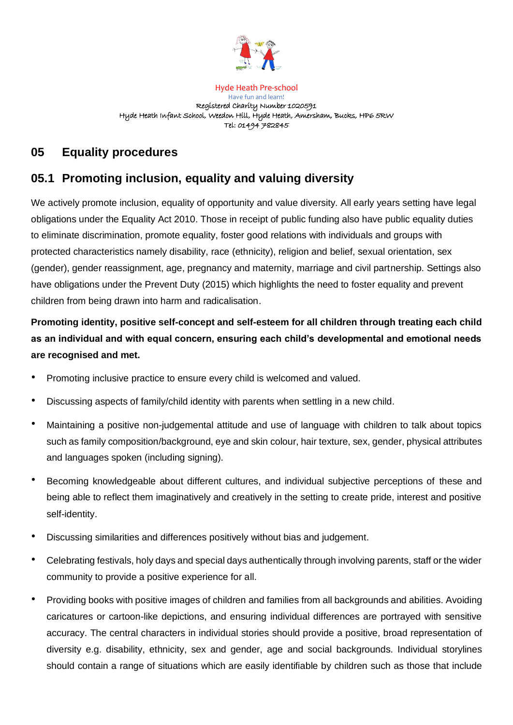

Hyde Heath Pre-school Have fun and learn! Registered Charity Number 1020591 Hyde Heath Infant School, Weedon Hill, Hyde Heath, Amersham, Bucks, HP6 5RW Tel: 01494 782845

# **05 Equality procedures**

# **05.1 Promoting inclusion, equality and valuing diversity**

We actively promote inclusion, equality of opportunity and value diversity. All early years setting have legal obligations under the Equality Act 2010. Those in receipt of public funding also have public equality duties to eliminate discrimination, promote equality, foster good relations with individuals and groups with protected characteristics namely disability, race (ethnicity), religion and belief, sexual orientation, sex (gender), gender reassignment, age, pregnancy and maternity, marriage and civil partnership. Settings also have obligations under the Prevent Duty (2015) which highlights the need to foster equality and prevent children from being drawn into harm and radicalisation.

# **Promoting identity, positive self-concept and self-esteem for all children through treating each child as an individual and with equal concern, ensuring each child's developmental and emotional needs are recognised and met.**

- Promoting inclusive practice to ensure every child is welcomed and valued.
- Discussing aspects of family/child identity with parents when settling in a new child.
- Maintaining a positive non-judgemental attitude and use of language with children to talk about topics such as family composition/background, eye and skin colour, hair texture, sex, gender, physical attributes and languages spoken (including signing).
- Becoming knowledgeable about different cultures, and individual subjective perceptions of these and being able to reflect them imaginatively and creatively in the setting to create pride, interest and positive self-identity.
- Discussing similarities and differences positively without bias and judgement.
- Celebrating festivals, holy days and special days authentically through involving parents, staff or the wider community to provide a positive experience for all.
- Providing books with positive images of children and families from all backgrounds and abilities. Avoiding caricatures or cartoon-like depictions, and ensuring individual differences are portrayed with sensitive accuracy. The central characters in individual stories should provide a positive, broad representation of diversity e.g. disability, ethnicity, sex and gender, age and social backgrounds. Individual storylines should contain a range of situations which are easily identifiable by children such as those that include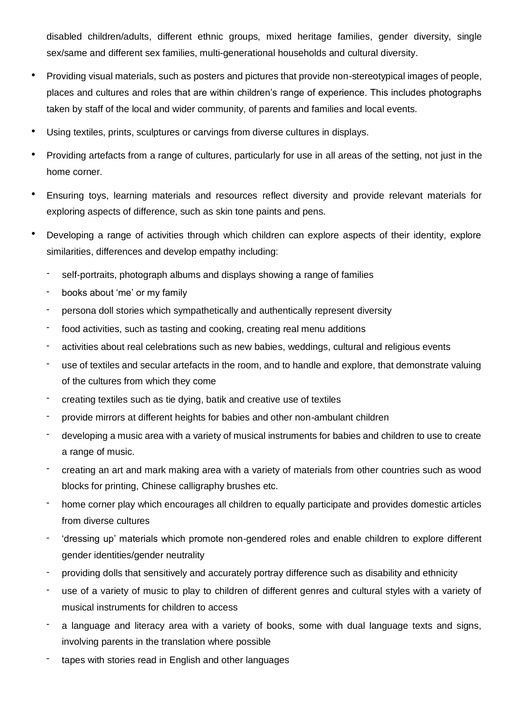disabled children/adults, different ethnic groups, mixed heritage families, gender diversity, single sex/same and different sex families, multi-generational households and cultural diversity.

- Providing visual materials, such as posters and pictures that provide non-stereotypical images of people, places and cultures and roles that are within children's range of experience. This includes photographs taken by staff of the local and wider community, of parents and families and local events.
- Using textiles, prints, sculptures or carvings from diverse cultures in displays.
- Providing artefacts from a range of cultures, particularly for use in all areas of the setting, not just in the home corner.
- Ensuring toys, learning materials and resources reflect diversity and provide relevant materials for exploring aspects of difference, such as skin tone paints and pens.
- Developing a range of activities through which children can explore aspects of their identity, explore similarities, differences and develop empathy including:
	- self-portraits, photograph albums and displays showing a range of families
	- books about 'me' or my family
	- persona doll stories which sympathetically and authentically represent diversity
	- food activities, such as tasting and cooking, creating real menu additions
	- activities about real celebrations such as new babies, weddings, cultural and religious events
	- use of textiles and secular artefacts in the room, and to handle and explore, that demonstrate valuing of the cultures from which they come
	- creating textiles such as tie dying, batik and creative use of textiles
	- provide mirrors at different heights for babies and other non-ambulant children
	- developing a music area with a variety of musical instruments for babies and children to use to create a range of music.
	- creating an art and mark making area with a variety of materials from other countries such as wood blocks for printing, Chinese calligraphy brushes etc.
	- home corner play which encourages all children to equally participate and provides domestic articles from diverse cultures
	- 'dressing up' materials which promote non-gendered roles and enable children to explore different gender identities/gender neutrality
	- providing dolls that sensitively and accurately portray difference such as disability and ethnicity
	- use of a variety of music to play to children of different genres and cultural styles with a variety of musical instruments for children to access
	- a language and literacy area with a variety of books, some with dual language texts and signs, involving parents in the translation where possible
	- tapes with stories read in English and other languages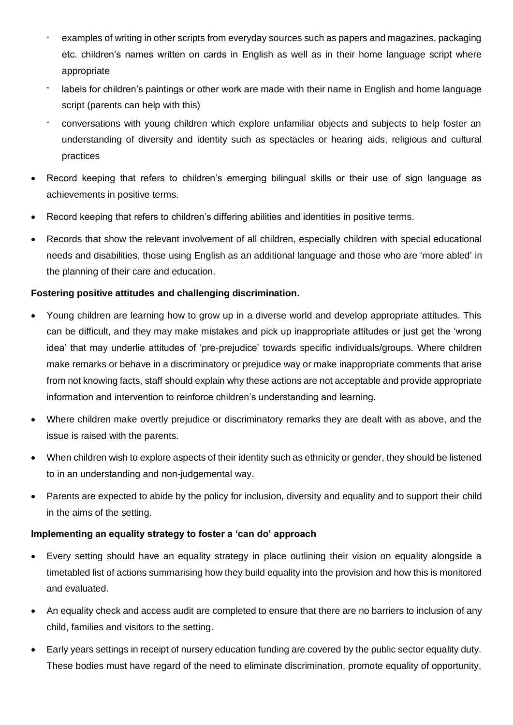- examples of writing in other scripts from everyday sources such as papers and magazines, packaging etc. children's names written on cards in English as well as in their home language script where appropriate
- labels for children's paintings or other work are made with their name in English and home language script (parents can help with this)
- conversations with young children which explore unfamiliar objects and subjects to help foster an understanding of diversity and identity such as spectacles or hearing aids, religious and cultural practices
- Record keeping that refers to children's emerging bilingual skills or their use of sign language as achievements in positive terms.
- Record keeping that refers to children's differing abilities and identities in positive terms.
- Records that show the relevant involvement of all children, especially children with special educational needs and disabilities, those using English as an additional language and those who are 'more abled' in the planning of their care and education.

## **Fostering positive attitudes and challenging discrimination.**

- Young children are learning how to grow up in a diverse world and develop appropriate attitudes. This can be difficult, and they may make mistakes and pick up inappropriate attitudes or just get the 'wrong idea' that may underlie attitudes of 'pre-prejudice' towards specific individuals/groups. Where children make remarks or behave in a discriminatory or prejudice way or make inappropriate comments that arise from not knowing facts, staff should explain why these actions are not acceptable and provide appropriate information and intervention to reinforce children's understanding and learning.
- Where children make overtly prejudice or discriminatory remarks they are dealt with as above, and the issue is raised with the parents.
- When children wish to explore aspects of their identity such as ethnicity or gender, they should be listened to in an understanding and non-judgemental way.
- Parents are expected to abide by the policy for inclusion, diversity and equality and to support their child in the aims of the setting.

## **Implementing an equality strategy to foster a 'can do' approach**

- Every setting should have an equality strategy in place outlining their vision on equality alongside a timetabled list of actions summarising how they build equality into the provision and how this is monitored and evaluated.
- An equality check and access audit are completed to ensure that there are no barriers to inclusion of any child, families and visitors to the setting.
- Early years settings in receipt of nursery education funding are covered by the public sector equality duty. These bodies must have regard of the need to eliminate discrimination, promote equality of opportunity,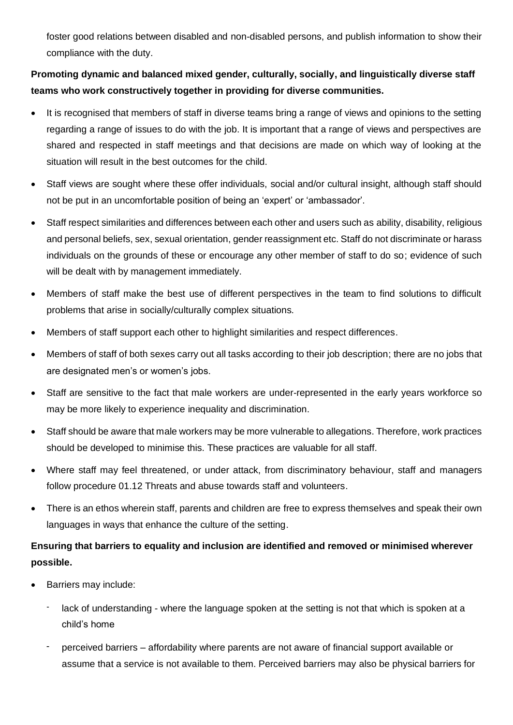foster good relations between disabled and non-disabled persons, and publish information to show their compliance with the duty.

## **Promoting dynamic and balanced mixed gender, culturally, socially, and linguistically diverse staff teams who work constructively together in providing for diverse communities.**

- It is recognised that members of staff in diverse teams bring a range of views and opinions to the setting regarding a range of issues to do with the job. It is important that a range of views and perspectives are shared and respected in staff meetings and that decisions are made on which way of looking at the situation will result in the best outcomes for the child.
- Staff views are sought where these offer individuals, social and/or cultural insight, although staff should not be put in an uncomfortable position of being an 'expert' or 'ambassador'.
- Staff respect similarities and differences between each other and users such as ability, disability, religious and personal beliefs, sex, sexual orientation, gender reassignment etc. Staff do not discriminate or harass individuals on the grounds of these or encourage any other member of staff to do so; evidence of such will be dealt with by management immediately.
- Members of staff make the best use of different perspectives in the team to find solutions to difficult problems that arise in socially/culturally complex situations.
- Members of staff support each other to highlight similarities and respect differences.
- Members of staff of both sexes carry out all tasks according to their job description; there are no jobs that are designated men's or women's jobs.
- Staff are sensitive to the fact that male workers are under-represented in the early years workforce so may be more likely to experience inequality and discrimination.
- Staff should be aware that male workers may be more vulnerable to allegations. Therefore, work practices should be developed to minimise this. These practices are valuable for all staff.
- Where staff may feel threatened, or under attack, from discriminatory behaviour, staff and managers follow procedure 01.12 Threats and abuse towards staff and volunteers.
- There is an ethos wherein staff, parents and children are free to express themselves and speak their own languages in ways that enhance the culture of the setting.

## **Ensuring that barriers to equality and inclusion are identified and removed or minimised wherever possible.**

- Barriers may include:
	- lack of understanding where the language spoken at the setting is not that which is spoken at a child's home
	- perceived barriers affordability where parents are not aware of financial support available or assume that a service is not available to them. Perceived barriers may also be physical barriers for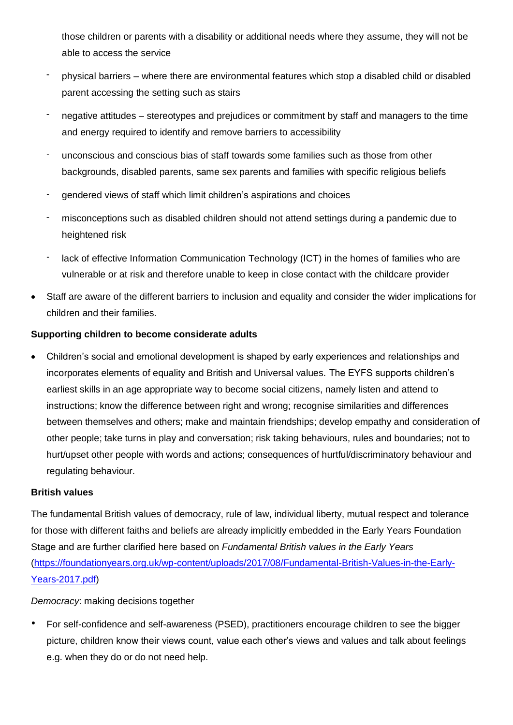those children or parents with a disability or additional needs where they assume, they will not be able to access the service

- physical barriers where there are environmental features which stop a disabled child or disabled parent accessing the setting such as stairs
- negative attitudes stereotypes and prejudices or commitment by staff and managers to the time and energy required to identify and remove barriers to accessibility
- unconscious and conscious bias of staff towards some families such as those from other backgrounds, disabled parents, same sex parents and families with specific religious beliefs
- gendered views of staff which limit children's aspirations and choices
- misconceptions such as disabled children should not attend settings during a pandemic due to heightened risk
- lack of effective Information Communication Technology (ICT) in the homes of families who are vulnerable or at risk and therefore unable to keep in close contact with the childcare provider
- Staff are aware of the different barriers to inclusion and equality and consider the wider implications for children and their families.

## **Supporting children to become considerate adults**

• Children's social and emotional development is shaped by early experiences and relationships and incorporates elements of equality and British and Universal values. The EYFS supports children's earliest skills in an age appropriate way to become social citizens, namely listen and attend to instructions; know the difference between right and wrong; recognise similarities and differences between themselves and others; make and maintain friendships; develop empathy and consideration of other people; take turns in play and conversation; risk taking behaviours, rules and boundaries; not to hurt/upset other people with words and actions; consequences of hurtful/discriminatory behaviour and regulating behaviour.

#### **British values**

The fundamental British values of democracy, rule of law, individual liberty, mutual respect and tolerance for those with different faiths and beliefs are already implicitly embedded in the Early Years Foundation Stage and are further clarified here based on *Fundamental British values in the Early Years* [\(https://foundationyears.org.uk/wp-content/uploads/2017/08/Fundamental-British-Values-in-the-Early-](https://foundationyears.org.uk/wp-content/uploads/2017/08/Fundamental-British-Values-in-the-Early-Years-2017.pdf)[Years-2017.pdf\)](https://foundationyears.org.uk/wp-content/uploads/2017/08/Fundamental-British-Values-in-the-Early-Years-2017.pdf)

*Democracy*: making decisions together

• For self-confidence and self-awareness (PSED), practitioners encourage children to see the bigger picture, children know their views count, value each other's views and values and talk about feelings e.g. when they do or do not need help.